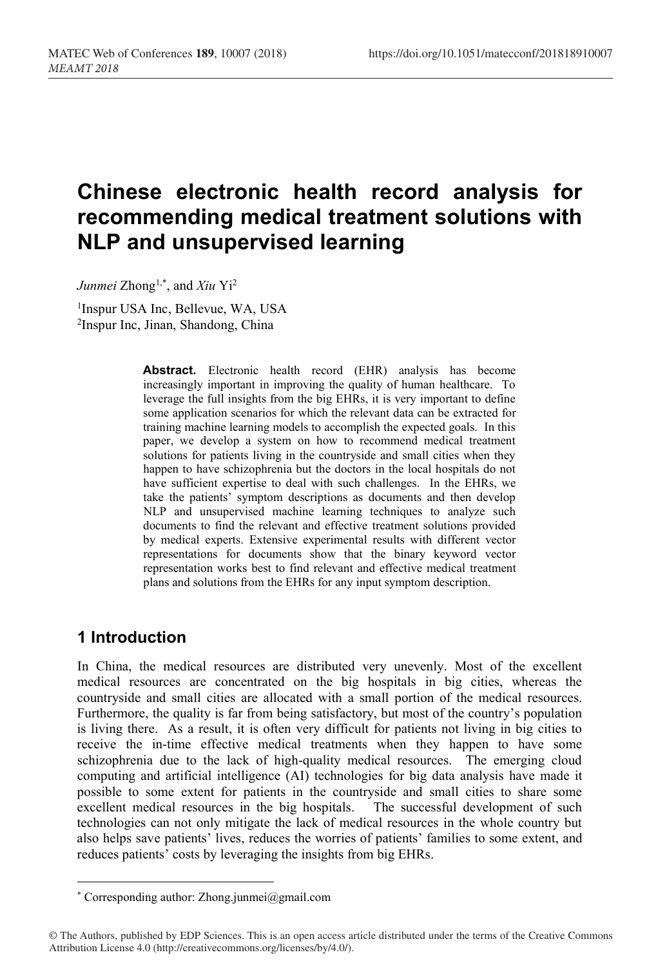# **Chinese electronic health record analysis for recommending medical treatment solutions with NLP and unsupervised learning**

*Junmei* Zhong1,\* , and *Xiu* Yi 2

1 Inspur USA Inc, Bellevue, WA, USA 2 Inspur Inc, Jinan, Shandong, China

> **Abstract.** Electronic health record (EHR) analysis has become increasingly important in improving the quality of human healthcare. To leverage the full insights from the big EHRs, it is very important to define some application scenarios for which the relevant data can be extracted for training machine learning models to accomplish the expected goals. In this paper, we develop a system on how to recommend medical treatment solutions for patients living in the countryside and small cities when they happen to have schizophrenia but the doctors in the local hospitals do not have sufficient expertise to deal with such challenges. In the EHRs, we take the patients' symptom descriptions as documents and then develop NLP and unsupervised machine learning techniques to analyze such documents to find the relevant and effective treatment solutions provided by medical experts. Extensive experimental results with different vector representations for documents show that the binary keyword vector representation works best to find relevant and effective medical treatment plans and solutions from the EHRs for any input symptom description.

# **1 Introduction**

In China, the medical resources are distributed very unevenly. Most of the excellent medical resources are concentrated on the big hospitals in big cities, whereas the countryside and small cities are allocated with a small portion of the medical resources. Furthermore, the quality is far from being satisfactory, but most of the country's population is living there. As a result, it is often very difficult for patients not living in big cities to receive the in-time effective medical treatments when they happen to have some schizophrenia due to the lack of high-quality medical resources. The emerging cloud computing and artificial intelligence (AI) technologies for big data analysis have made it possible to some extent for patients in the countryside and small cities to share some excellent medical resources in the big hospitals. The successful development of such technologies can not only mitigate the lack of medical resources in the whole country but also helps save patients' lives, reduces the worries of patients' families to some extent, and reduces patients' costs by leveraging the insights from big EHRs.

<sup>\*</sup> Corresponding author: Zhong.junmei@gmail.com

<sup>©</sup> The Authors, published by EDP Sciences. This is an open access article distributed under the terms of the Creative Commons Attribution License 4.0 (http://creativecommons.org/licenses/by/4.0/).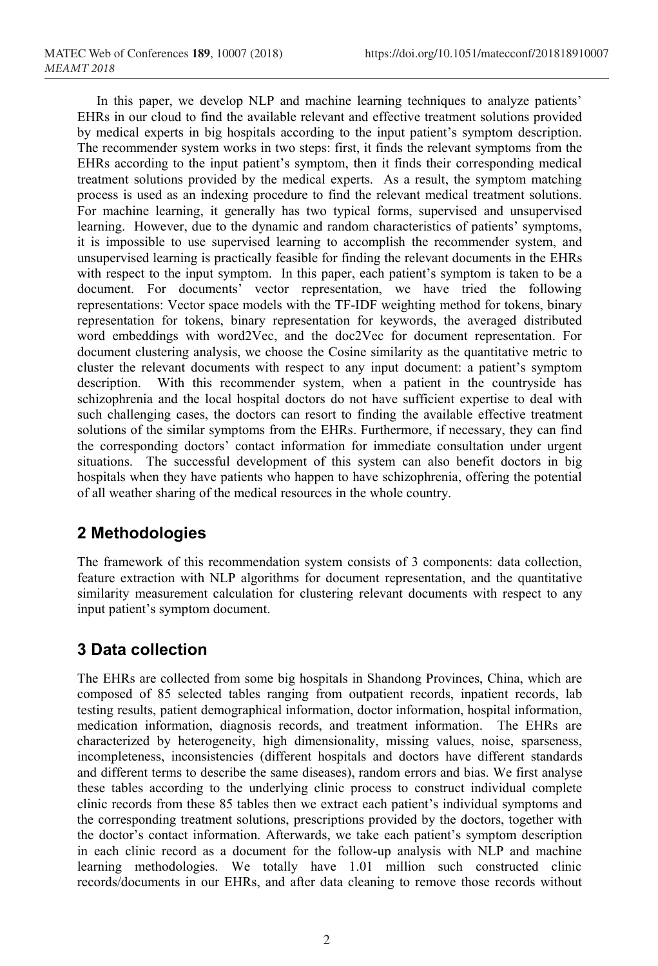In this paper, we develop NLP and machine learning techniques to analyze patients' EHRs in our cloud to find the available relevant and effective treatment solutions provided by medical experts in big hospitals according to the input patient's symptom description. The recommender system works in two steps: first, it finds the relevant symptoms from the EHRs according to the input patient's symptom, then it finds their corresponding medical treatment solutions provided by the medical experts. As a result, the symptom matching process is used as an indexing procedure to find the relevant medical treatment solutions. For machine learning, it generally has two typical forms, supervised and unsupervised learning. However, due to the dynamic and random characteristics of patients' symptoms, it is impossible to use supervised learning to accomplish the recommender system, and unsupervised learning is practically feasible for finding the relevant documents in the EHRs with respect to the input symptom. In this paper, each patient's symptom is taken to be a document. For documents' vector representation, we have tried the following representations: Vector space models with the TF-IDF weighting method for tokens, binary representation for tokens, binary representation for keywords, the averaged distributed word embeddings with word2Vec, and the doc2Vec for document representation. For document clustering analysis, we choose the Cosine similarity as the quantitative metric to cluster the relevant documents with respect to any input document: a patient's symptom description. With this recommender system, when a patient in the countryside has schizophrenia and the local hospital doctors do not have sufficient expertise to deal with such challenging cases, the doctors can resort to finding the available effective treatment solutions of the similar symptoms from the EHRs. Furthermore, if necessary, they can find the corresponding doctors' contact information for immediate consultation under urgent situations. The successful development of this system can also benefit doctors in big hospitals when they have patients who happen to have schizophrenia, offering the potential of all weather sharing of the medical resources in the whole country.

# **2 Methodologies**

The framework of this recommendation system consists of 3 components: data collection, feature extraction with NLP algorithms for document representation, and the quantitative similarity measurement calculation for clustering relevant documents with respect to any input patient's symptom document.

# **3 Data collection**

The EHRs are collected from some big hospitals in Shandong Provinces, China, which are composed of 85 selected tables ranging from outpatient records, inpatient records, lab testing results, patient demographical information, doctor information, hospital information, medication information, diagnosis records, and treatment information. The EHRs are characterized by heterogeneity, high dimensionality, missing values, noise, sparseness, incompleteness, inconsistencies (different hospitals and doctors have different standards and different terms to describe the same diseases), random errors and bias. We first analyse these tables according to the underlying clinic process to construct individual complete clinic records from these 85 tables then we extract each patient's individual symptoms and the corresponding treatment solutions, prescriptions provided by the doctors, together with the doctor's contact information. Afterwards, we take each patient's symptom description in each clinic record as a document for the follow-up analysis with NLP and machine learning methodologies. We totally have 1.01 million such constructed clinic records/documents in our EHRs, and after data cleaning to remove those records without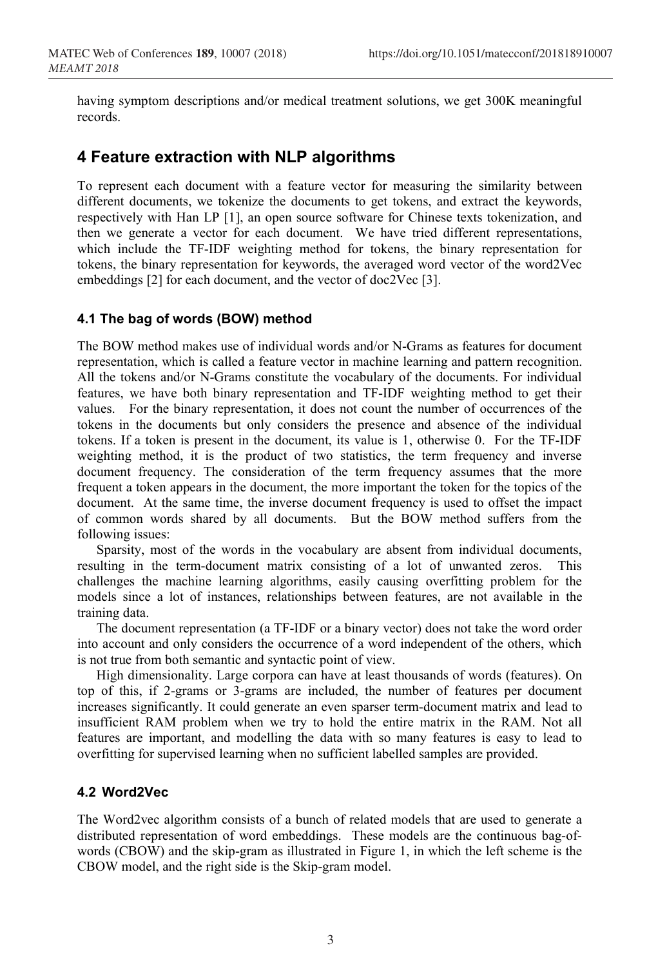having symptom descriptions and/or medical treatment solutions, we get 300K meaningful records.

## **4 Feature extraction with NLP algorithms**

To represent each document with a feature vector for measuring the similarity between different documents, we tokenize the documents to get tokens, and extract the keywords, respectively with Han LP [1], an open source software for Chinese texts tokenization, and then we generate a vector for each document. We have tried different representations, which include the TF-IDF weighting method for tokens, the binary representation for tokens, the binary representation for keywords, the averaged word vector of the word2Vec embeddings [2] for each document, and the vector of doc2Vec [3].

#### **4.1 The bag of words (BOW) method**

The BOW method makes use of individual words and/or N-Grams as features for document representation, which is called a feature vector in machine learning and pattern recognition. All the tokens and/or N-Grams constitute the vocabulary of the documents. For individual features, we have both binary representation and TF-IDF weighting method to get their values. For the binary representation, it does not count the number of occurrences of the tokens in the documents but only considers the presence and absence of the individual tokens. If a token is present in the document, its value is 1, otherwise 0. For the TF-IDF weighting method, it is the product of two statistics, the term frequency and inverse document frequency. The consideration of the term frequency assumes that the more frequent a token appears in the document, the more important the token for the topics of the document. At the same time, the inverse document frequency is used to offset the impact of common words shared by all documents. But the BOW method suffers from the following issues:

Sparsity, most of the words in the vocabulary are absent from individual documents, resulting in the term-document matrix consisting of a lot of unwanted zeros. This challenges the machine learning algorithms, easily causing overfitting problem for the models since a lot of instances, relationships between features, are not available in the training data.

The document representation (a TF-IDF or a binary vector) does not take the word order into account and only considers the occurrence of a word independent of the others, which is not true from both semantic and syntactic point of view.

High dimensionality. Large corpora can have at least thousands of words (features). On top of this, if 2-grams or 3-grams are included, the number of features per document increases significantly. It could generate an even sparser term-document matrix and lead to insufficient RAM problem when we try to hold the entire matrix in the RAM. Not all features are important, and modelling the data with so many features is easy to lead to overfitting for supervised learning when no sufficient labelled samples are provided.

#### **4.2 Word2Vec**

The Word2vec algorithm consists of a bunch of related models that are used to generate a distributed representation of word embeddings. These models are the continuous bag-ofwords (CBOW) and the skip-gram as illustrated in Figure 1, in which the left scheme is the CBOW model, and the right side is the Skip-gram model.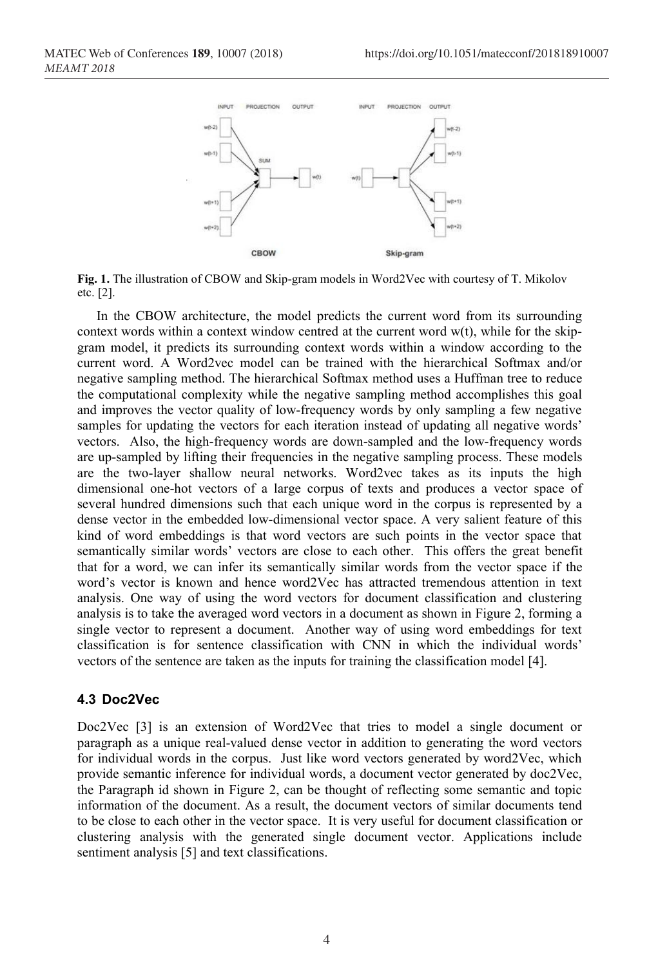

**Fig. 1.** The illustration of CBOW and Skip-gram models in Word2Vec with courtesy of T. Mikolov etc. [2].

In the CBOW architecture, the model predicts the current word from its surrounding context words within a context window centred at the current word w(t), while for the skipgram model, it predicts its surrounding context words within a window according to the current word. A Word2vec model can be trained with the hierarchical Softmax and/or negative sampling method. The hierarchical Softmax method uses a Huffman tree to reduce the computational complexity while the negative sampling method accomplishes this goal and improves the vector quality of low-frequency words by only sampling a few negative samples for updating the vectors for each iteration instead of updating all negative words' vectors. Also, the high-frequency words are down-sampled and the low-frequency words are up-sampled by lifting their frequencies in the negative sampling process. These models are the two-layer shallow neural networks. Word2vec takes as its inputs the high dimensional one-hot vectors of a large corpus of texts and produces a vector space of several hundred dimensions such that each unique word in the corpus is represented by a dense vector in the embedded low-dimensional vector space. A very salient feature of this kind of word embeddings is that word vectors are such points in the vector space that semantically similar words' vectors are close to each other. This offers the great benefit that for a word, we can infer its semantically similar words from the vector space if the word's vector is known and hence word2Vec has attracted tremendous attention in text analysis. One way of using the word vectors for document classification and clustering analysis is to take the averaged word vectors in a document as shown in Figure 2, forming a single vector to represent a document. Another way of using word embeddings for text classification is for sentence classification with CNN in which the individual words' vectors of the sentence are taken as the inputs for training the classification model [4].

#### **4.3 Doc2Vec**

Doc2Vec [3] is an extension of Word2Vec that tries to model a single document or paragraph as a unique real-valued dense vector in addition to generating the word vectors for individual words in the corpus. Just like word vectors generated by word2Vec, which provide semantic inference for individual words, a document vector generated by doc2Vec, the Paragraph id shown in Figure 2, can be thought of reflecting some semantic and topic information of the document. As a result, the document vectors of similar documents tend to be close to each other in the vector space. It is very useful for document classification or clustering analysis with the generated single document vector. Applications include sentiment analysis [5] and text classifications.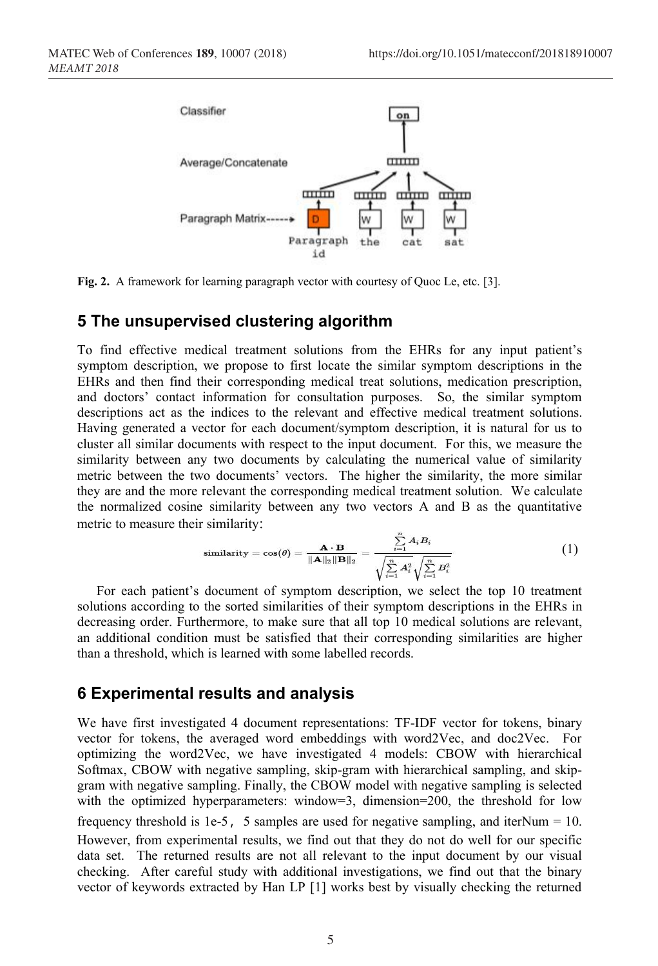

**Fig. 2.** A framework for learning paragraph vector with courtesy of Quoc Le, etc. [3].

### **5 The unsupervised clustering algorithm**

To find effective medical treatment solutions from the EHRs for any input patient's symptom description, we propose to first locate the similar symptom descriptions in the EHRs and then find their corresponding medical treat solutions, medication prescription, and doctors' contact information for consultation purposes. So, the similar symptom descriptions act as the indices to the relevant and effective medical treatment solutions. Having generated a vector for each document/symptom description, it is natural for us to cluster all similar documents with respect to the input document. For this, we measure the similarity between any two documents by calculating the numerical value of similarity metric between the two documents' vectors. The higher the similarity, the more similar they are and the more relevant the corresponding medical treatment solution. We calculate the normalized cosine similarity between any two vectors A and B as the quantitative metric to measure their similarity:

$$
\text{similarity} = \cos(\theta) = \frac{\mathbf{A} \cdot \mathbf{B}}{\|\mathbf{A}\|_2 \|\mathbf{B}\|_2} = \frac{\sum_{i=1}^{n} A_i B_i}{\sqrt{\sum_{i=1}^{n} A_i^2} \sqrt{\sum_{i=1}^{n} B_i^2}}
$$
(1)

For each patient's document of symptom description, we select the top 10 treatment solutions according to the sorted similarities of their symptom descriptions in the EHRs in decreasing order. Furthermore, to make sure that all top 10 medical solutions are relevant, an additional condition must be satisfied that their corresponding similarities are higher than a threshold, which is learned with some labelled records.

### **6 Experimental results and analysis**

We have first investigated 4 document representations: TF-IDF vector for tokens, binary vector for tokens, the averaged word embeddings with word2Vec, and doc2Vec. For optimizing the word2Vec, we have investigated 4 models: CBOW with hierarchical Softmax, CBOW with negative sampling, skip-gram with hierarchical sampling, and skipgram with negative sampling. Finally, the CBOW model with negative sampling is selected with the optimized hyperparameters: window=3, dimension=200, the threshold for low frequency threshold is 1e-5, 5 samples are used for negative sampling, and iterNum = 10. However, from experimental results, we find out that they do not do well for our specific data set. The returned results are not all relevant to the input document by our visual checking. After careful study with additional investigations, we find out that the binary vector of keywords extracted by Han LP [1] works best by visually checking the returned